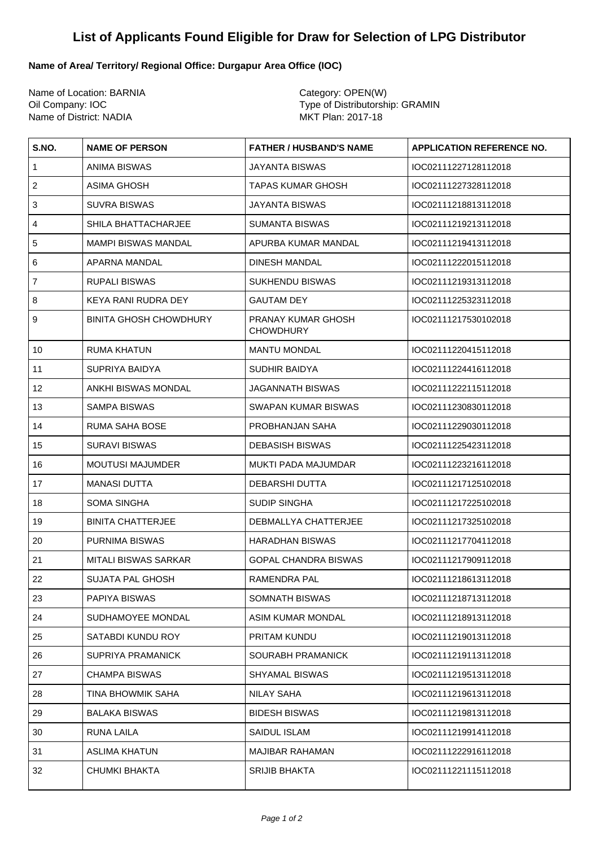## **List of Applicants Found Eligible for Draw for Selection of LPG Distributor**

## **Name of Area/ Territory/ Regional Office: Durgapur Area Office (IOC)**

Name of Location: BARNIA Category: OPEN(W) Name of District: NADIA

Oil Company: IOC <br>
Name of District: NADIA 
Name of Distributorship: GRAMIN

Name of District: NADIA

| S.NO.                     | <b>NAME OF PERSON</b>         | <b>FATHER / HUSBAND'S NAME</b>         | <b>APPLICATION REFERENCE NO.</b> |
|---------------------------|-------------------------------|----------------------------------------|----------------------------------|
| $\mathbf{1}$              | ANIMA BISWAS                  | JAYANTA BISWAS                         | IOC02111227128112018             |
| $\sqrt{2}$                | ASIMA GHOSH                   | TAPAS KUMAR GHOSH                      | IOC02111227328112018             |
| $\ensuremath{\mathsf{3}}$ | SUVRA BISWAS                  | JAYANTA BISWAS                         | IOC02111218813112018             |
| $\overline{4}$            | SHILA BHATTACHARJEE           | <b>SUMANTA BISWAS</b>                  | IOC02111219213112018             |
| 5                         | MAMPI BISWAS MANDAL           | APURBA KUMAR MANDAL                    | IOC02111219413112018             |
| 6                         | APARNA MANDAL                 | <b>DINESH MANDAL</b>                   | IOC02111222015112018             |
| $\overline{7}$            | <b>RUPALI BISWAS</b>          | <b>SUKHENDU BISWAS</b>                 | IOC02111219313112018             |
| 8                         | KEYA RANI RUDRA DEY           | <b>GAUTAM DEY</b>                      | IOC02111225323112018             |
| 9                         | <b>BINITA GHOSH CHOWDHURY</b> | PRANAY KUMAR GHOSH<br><b>CHOWDHURY</b> | IOC02111217530102018             |
| 10                        | RUMA KHATUN                   | <b>MANTU MONDAL</b>                    | IOC02111220415112018             |
| 11                        | SUPRIYA BAIDYA                | <b>SUDHIR BAIDYA</b>                   | IOC02111224416112018             |
| 12                        | ANKHI BISWAS MONDAL           | <b>JAGANNATH BISWAS</b>                | IOC02111222115112018             |
| 13                        | <b>SAMPA BISWAS</b>           | <b>SWAPAN KUMAR BISWAS</b>             | IOC02111230830112018             |
| 14                        | RUMA SAHA BOSE                | PROBHANJAN SAHA                        | IOC02111229030112018             |
| 15                        | <b>SURAVI BISWAS</b>          | <b>DEBASISH BISWAS</b>                 | IOC02111225423112018             |
| 16                        | <b>MOUTUSI MAJUMDER</b>       | MUKTI PADA MAJUMDAR                    | IOC02111223216112018             |
| 17                        | <b>MANASI DUTTA</b>           | DEBARSHI DUTTA                         | IOC02111217125102018             |
| 18                        | <b>SOMA SINGHA</b>            | <b>SUDIP SINGHA</b>                    | IOC02111217225102018             |
| 19                        | <b>BINITA CHATTERJEE</b>      | DEBMALLYA CHATTERJEE                   | IOC02111217325102018             |
| 20                        | PURNIMA BISWAS                | <b>HARADHAN BISWAS</b>                 | IOC02111217704112018             |
| 21                        | <b>MITALI BISWAS SARKAR</b>   | GOPAL CHANDRA BISWAS                   | IOC02111217909112018             |
| 22                        | SUJATA PAL GHOSH              | RAMENDRA PAL                           | IOC02111218613112018             |
| 23                        | PAPIYA BISWAS                 | SOMNATH BISWAS                         | IOC02111218713112018             |
| 24                        | SUDHAMOYEE MONDAL             | <b>ASIM KUMAR MONDAL</b>               | IOC02111218913112018             |
| 25                        | SATABDI KUNDU ROY             | PRITAM KUNDU                           | IOC02111219013112018             |
| 26                        | <b>SUPRIYA PRAMANICK</b>      | <b>SOURABH PRAMANICK</b>               | IOC02111219113112018             |
| 27                        | <b>CHAMPA BISWAS</b>          | <b>SHYAMAL BISWAS</b>                  | IOC02111219513112018             |
| 28                        | TINA BHOWMIK SAHA             | <b>NILAY SAHA</b>                      | IOC02111219613112018             |
| 29                        | <b>BALAKA BISWAS</b>          | <b>BIDESH BISWAS</b>                   | IOC02111219813112018             |
| 30                        | RUNA LAILA                    | SAIDUL ISLAM                           | IOC02111219914112018             |
| 31                        | <b>ASLIMA KHATUN</b>          | <b>MAJIBAR RAHAMAN</b>                 | IOC02111222916112018             |
| 32                        | <b>CHUMKI BHAKTA</b>          | <b>SRIJIB BHAKTA</b>                   | IOC02111221115112018             |